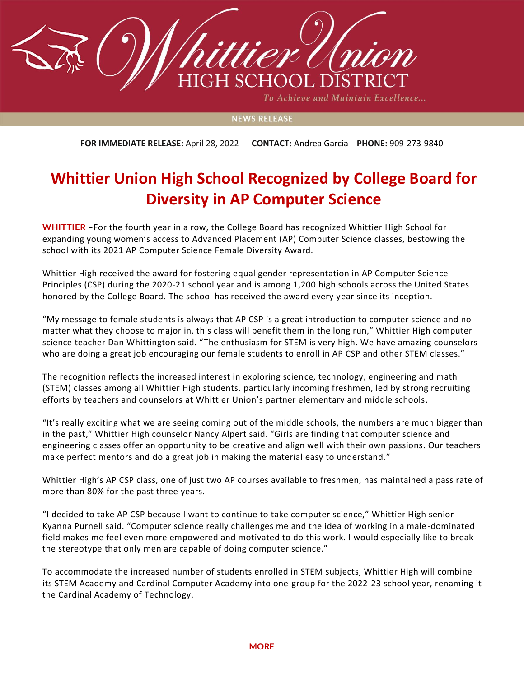

To Achieve and Maintain Excellence...

## **NEWS RELEASE**

**FOR IMMEDIATE RELEASE:** April 28, 2022 **CONTACT:** Andrea Garcia **PHONE:** 909-273-9840

## **Whittier Union High School Recognized by College Board for Diversity in AP Computer Science**

**WHITTIER** –For the fourth year in a row, the College Board has recognized Whittier High School for expanding young women's access to Advanced Placement (AP) Computer Science classes, bestowing the school with its 2021 AP Computer Science Female Diversity Award.

Whittier High received the award for fostering equal gender representation in AP Computer Science Principles (CSP) during the 2020-21 school year and is among 1,200 high schools across the United States honored by the College Board. The school has received the award every year since its inception.

"My message to female students is always that AP CSP is a great introduction to computer science and no matter what they choose to major in, this class will benefit them in the long run," Whittier High computer science teacher Dan Whittington said. "The enthusiasm for STEM is very high. We have amazing counselors who are doing a great job encouraging our female students to enroll in AP CSP and other STEM classes."

The recognition reflects the increased interest in exploring science, technology, engineering and math (STEM) classes among all Whittier High students, particularly incoming freshmen, led by strong recruiting efforts by teachers and counselors at Whittier Union's partner elementary and middle schools.

"It's really exciting what we are seeing coming out of the middle schools, the numbers are much bigger than in the past," Whittier High counselor Nancy Alpert said. "Girls are finding that computer science and engineering classes offer an opportunity to be creative and align well with their own passions. Our teachers make perfect mentors and do a great job in making the material easy to understand."

Whittier High's AP CSP class, one of just two AP courses available to freshmen, has maintained a pass rate of more than 80% for the past three years.

"I decided to take AP CSP because I want to continue to take computer science," Whittier High senior Kyanna Purnell said. "Computer science really challenges me and the idea of working in a male -dominated field makes me feel even more empowered and motivated to do this work. I would especially like to break the stereotype that only men are capable of doing computer science."

To accommodate the increased number of students enrolled in STEM subjects, Whittier High will combine its STEM Academy and Cardinal Computer Academy into one group for the 2022-23 school year, renaming it the Cardinal Academy of Technology.